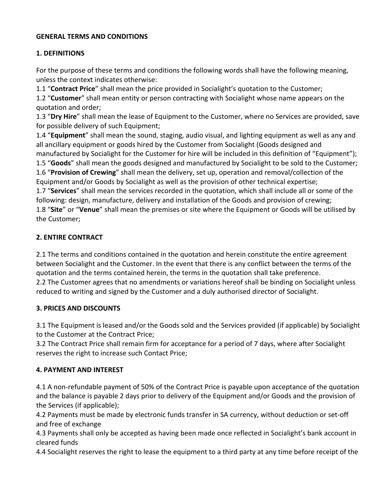#### **GENERAL TERMS AND CONDITIONS**

#### **1. DEFINITIONS**

For the purpose of these terms and conditions the following words shall have the following meaning, unless the context indicates otherwise:

1.1 "**Contract Price**" shall mean the price provided in Socialight's quotation to the Customer;

1.2 "Customer" shall mean entity or person contracting with Socialight whose name appears on the quotation and order;

1.3 "Dry Hire" shall mean the lease of Equipment to the Customer, where no Services are provided, save for possible delivery of such Equipment;

1.4 "Equipment" shall mean the sound, staging, audio visual, and lighting equipment as well as any and all ancillary equipment or goods hired by the Customer from Socialight (Goods designed and manufactured by Socialight for the Customer for hire will be included in this definition of "Equipment"); 1.5 "**Goods**" shall mean the goods designed and manufactured by Socialight to be sold to the Customer;

1.6 "**Provision of Crewing**" shall mean the delivery, set up, operation and removal/collection of the Equipment and/or Goods by Socialight as well as the provision of other technical expertise;

1.7 "**Services**" shall mean the services recorded in the quotation, which shall include all or some of the following: design, manufacture, delivery and installation of the Goods and provision of crewing; 1.8 "Site" or "Venue" shall mean the premises or site where the Equipment or Goods will be utilised by the Customer;

### **2. ENTIRE CONTRACT**

2.1 The terms and conditions contained in the quotation and herein constitute the entire agreement between Socialight and the Customer. In the event that there is any conflict between the terms of the quotation and the terms contained herein, the terms in the quotation shall take preference. 2.2 The Customer agrees that no amendments or variations hereof shall be binding on Socialight unless reduced to writing and signed by the Customer and a duly authorised director of Socialight.

### **3. PRICES AND DISCOUNTS**

3.1 The Equipment is leased and/or the Goods sold and the Services provided (if applicable) by Socialight to the Customer at the Contract Price;

3.2 The Contract Price shall remain firm for acceptance for a period of 7 days, where after Socialight reserves the right to increase such Contact Price;

# **4. PAYMENT AND INTEREST**

4.1 A non-refundable payment of 50% of the Contract Price is payable upon acceptance of the quotation and the balance is payable 2 days prior to delivery of the Equipment and/or Goods and the provision of the Services (if applicable);

4.2 Payments must be made by electronic funds transfer in SA currency, without deduction or set-off and free of exchange

4.3 Payments shall only be accepted as having been made once reflected in Socialight's bank account in cleared funds

4.4 Socialight reserves the right to lease the equipment to a third party at any time before receipt of the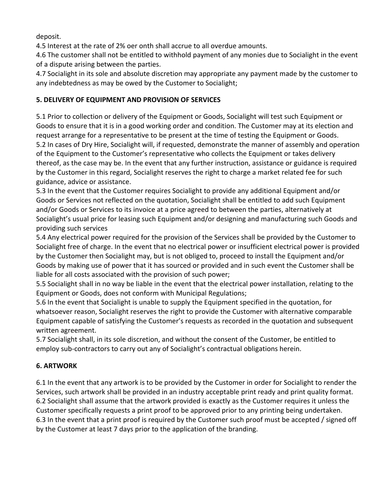deposit.

4.5 Interest at the rate of 2% oer onth shall accrue to all overdue amounts.

4.6 The customer shall not be entitled to withhold payment of any monies due to Socialight in the event of a dispute arising between the parties.

4.7 Socialight in its sole and absolute discretion may appropriate any payment made by the customer to any indebtedness as may be owed by the Customer to Socialight;

### **5. DELIVERY OF EQUIPMENT AND PROVISION OF SERVICES**

5.1 Prior to collection or delivery of the Equipment or Goods, Socialight will test such Equipment or Goods to ensure that it is in a good working order and condition. The Customer may at its election and request arrange for a representative to be present at the time of testing the Equipment or Goods. 5.2 In cases of Dry Hire, Socialight will, if requested, demonstrate the manner of assembly and operation of the Equipment to the Customer's representative who collects the Equipment or takes delivery thereof, as the case may be. In the event that any further instruction, assistance or guidance is required by the Customer in this regard, Socialight reserves the right to charge a market related fee for such guidance, advice or assistance.

5.3 In the event that the Customer requires Socialight to provide any additional Equipment and/or Goods or Services not reflected on the quotation, Socialight shall be entitled to add such Equipment and/or Goods or Services to its invoice at a price agreed to between the parties, alternatively at Socialight's usual price for leasing such Equipment and/or designing and manufacturing such Goods and providing such services

5.4 Any electrical power required for the provision of the Services shall be provided by the Customer to Socialight free of charge. In the event that no electrical power or insufficient electrical power is provided by the Customer then Socialight may, but is not obliged to, proceed to install the Equipment and/or Goods by making use of power that it has sourced or provided and in such event the Customer shall be liable for all costs associated with the provision of such power;

5.5 Socialight shall in no way be liable in the event that the electrical power installation, relating to the Equipment or Goods, does not conform with Municipal Regulations;

5.6 In the event that Socialight is unable to supply the Equipment specified in the quotation, for whatsoever reason, Socialight reserves the right to provide the Customer with alternative comparable Equipment capable of satisfying the Customer's requests as recorded in the quotation and subsequent written agreement.

5.7 Socialight shall, in its sole discretion, and without the consent of the Customer, be entitled to employ sub-contractors to carry out any of Socialight's contractual obligations herein.

# **6. ARTWORK**

6.1 In the event that any artwork is to be provided by the Customer in order for Socialight to render the Services, such artwork shall be provided in an industry acceptable print ready and print quality format. 6.2 Socialight shall assume that the artwork provided is exactly as the Customer requires it unless the Customer specifically requests a print proof to be approved prior to any printing being undertaken. 6.3 In the event that a print proof is required by the Customer such proof must be accepted / signed off by the Customer at least 7 days prior to the application of the branding.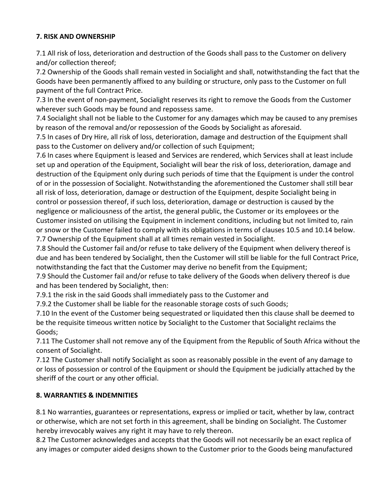### **7. RISK AND OWNERSHIP**

7.1 All risk of loss, deterioration and destruction of the Goods shall pass to the Customer on delivery and/or collection thereof;

7.2 Ownership of the Goods shall remain vested in Socialight and shall, notwithstanding the fact that the Goods have been permanently affixed to any building or structure, only pass to the Customer on full payment of the full Contract Price.

7.3 In the event of non-payment, Socialight reserves its right to remove the Goods from the Customer wherever such Goods may be found and repossess same.

7.4 Socialight shall not be liable to the Customer for any damages which may be caused to any premises by reason of the removal and/or repossession of the Goods by Socialight as aforesaid.

7.5 In cases of Dry Hire, all risk of loss, deterioration, damage and destruction of the Equipment shall pass to the Customer on delivery and/or collection of such Equipment;

7.6 In cases where Equipment is leased and Services are rendered, which Services shall at least include set up and operation of the Equipment, Socialight will bear the risk of loss, deterioration, damage and destruction of the Equipment only during such periods of time that the Equipment is under the control of or in the possession of Socialight. Notwithstanding the aforementioned the Customer shall still bear all risk of loss, deterioration, damage or destruction of the Equipment, despite Socialight being in control or possession thereof, if such loss, deterioration, damage or destruction is caused by the negligence or maliciousness of the artist, the general public, the Customer or its employees or the Customer insisted on utilising the Equipment in inclement conditions, including but not limited to, rain or snow or the Customer failed to comply with its obligations in terms of clauses 10.5 and 10.14 below. 7.7 Ownership of the Equipment shall at all times remain vested in Socialight.

7.8 Should the Customer fail and/or refuse to take delivery of the Equipment when delivery thereof is due and has been tendered by Socialight, then the Customer will still be liable for the full Contract Price, notwithstanding the fact that the Customer may derive no benefit from the Equipment;

7.9 Should the Customer fail and/or refuse to take delivery of the Goods when delivery thereof is due and has been tendered by Socialight, then:

7.9.1 the risk in the said Goods shall immediately pass to the Customer and

7.9.2 the Customer shall be liable for the reasonable storage costs of such Goods;

7.10 In the event of the Customer being sequestrated or liquidated then this clause shall be deemed to be the requisite timeous written notice by Socialight to the Customer that Socialight reclaims the Goods; 

7.11 The Customer shall not remove any of the Equipment from the Republic of South Africa without the consent of Socialight.

7.12 The Customer shall notify Socialight as soon as reasonably possible in the event of any damage to or loss of possession or control of the Equipment or should the Equipment be judicially attached by the sheriff of the court or any other official.

# **8. WARRANTIES & INDEMNITIES**

8.1 No warranties, guarantees or representations, express or implied or tacit, whether by law, contract or otherwise, which are not set forth in this agreement, shall be binding on Socialight. The Customer hereby irrevocably waives any right it may have to rely thereon.

8.2 The Customer acknowledges and accepts that the Goods will not necessarily be an exact replica of any images or computer aided designs shown to the Customer prior to the Goods being manufactured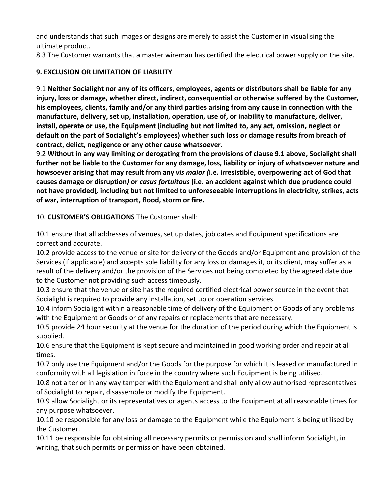and understands that such images or designs are merely to assist the Customer in visualising the ultimate product.

8.3 The Customer warrants that a master wireman has certified the electrical power supply on the site.

### **9. EXCLUSION OR LIMITATION OF LIABILITY**

9.1 Neither Socialight nor any of its officers, employees, agents or distributors shall be liable for any injury, loss or damage, whether direct, indirect, consequential or otherwise suffered by the Customer, his employees, clients, family and/or any third parties arising from any cause in connection with the manufacture, delivery, set up, installation, operation, use of, or inability to manufacture, deliver, install, operate or use, the Equipment (including but not limited to, any act, omission, neglect or default on the part of Socialight's employees) whether such loss or damage results from breach of contract, delict, negligence or any other cause whatsoever.

9.2 Without in any way limiting or derogating from the provisions of clause 9.1 above, Socialight shall further not be liable to the Customer for any damage, loss, liability or injury of whatsoever nature and howsoever arising that may result from any *vis maior* (i.e. irresistible, overpowering act of God that **causes damage or disruption**) or *casus fortuitous* (i.e. an accident against which due prudence could not have provided), including but not limited to unforeseeable interruptions in electricity, strikes, acts of war, interruption of transport, flood, storm or fire.

10. **CUSTOMER'S OBLIGATIONS** The Customer shall:

10.1 ensure that all addresses of venues, set up dates, job dates and Equipment specifications are correct and accurate.

10.2 provide access to the venue or site for delivery of the Goods and/or Equipment and provision of the Services (if applicable) and accepts sole liability for any loss or damages it, or its client, may suffer as a result of the delivery and/or the provision of the Services not being completed by the agreed date due to the Customer not providing such access timeously.

10.3 ensure that the venue or site has the required certified electrical power source in the event that Socialight is required to provide any installation, set up or operation services.

10.4 inform Socialight within a reasonable time of delivery of the Equipment or Goods of any problems with the Equipment or Goods or of any repairs or replacements that are necessary.

10.5 provide 24 hour security at the venue for the duration of the period during which the Equipment is supplied. 

10.6 ensure that the Equipment is kept secure and maintained in good working order and repair at all times. 

10.7 only use the Equipment and/or the Goods for the purpose for which it is leased or manufactured in conformity with all legislation in force in the country where such Equipment is being utilised.

10.8 not alter or in any way tamper with the Equipment and shall only allow authorised representatives of Socialight to repair, disassemble or modify the Equipment.

10.9 allow Socialight or its representatives or agents access to the Equipment at all reasonable times for any purpose whatsoever.

10.10 be responsible for any loss or damage to the Equipment while the Equipment is being utilised by the Customer.

10.11 be responsible for obtaining all necessary permits or permission and shall inform Socialight, in writing, that such permits or permission have been obtained.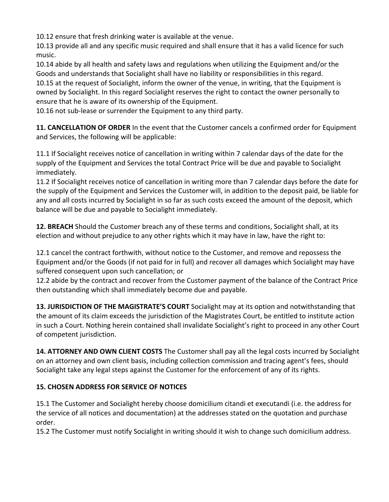10.12 ensure that fresh drinking water is available at the venue.

10.13 provide all and any specific music required and shall ensure that it has a valid licence for such music.

10.14 abide by all health and safety laws and regulations when utilizing the Equipment and/or the Goods and understands that Socialight shall have no liability or responsibilities in this regard. 10.15 at the request of Socialight, inform the owner of the venue, in writing, that the Equipment is owned by Socialight. In this regard Socialight reserves the right to contact the owner personally to ensure that he is aware of its ownership of the Equipment.

10.16 not sub-lease or surrender the Equipment to any third party.

**11. CANCELLATION OF ORDER** In the event that the Customer cancels a confirmed order for Equipment and Services, the following will be applicable:

11.1 If Socialight receives notice of cancellation in writing within 7 calendar days of the date for the supply of the Equipment and Services the total Contract Price will be due and payable to Socialight immediately. 

11.2 If Socialight receives notice of cancellation in writing more than 7 calendar days before the date for the supply of the Equipment and Services the Customer will, in addition to the deposit paid, be liable for any and all costs incurred by Socialight in so far as such costs exceed the amount of the deposit, which balance will be due and payable to Socialight immediately.

**12. BREACH** Should the Customer breach any of these terms and conditions, Socialight shall, at its election and without prejudice to any other rights which it may have in law, have the right to:

12.1 cancel the contract forthwith, without notice to the Customer, and remove and repossess the Equipment and/or the Goods (if not paid for in full) and recover all damages which Socialight may have suffered consequent upon such cancellation; or

12.2 abide by the contract and recover from the Customer payment of the balance of the Contract Price then outstanding which shall immediately become due and payable.

13. JURISDICTION OF THE MAGISTRATE'S COURT Socialight may at its option and notwithstanding that the amount of its claim exceeds the jurisdiction of the Magistrates Court, be entitled to institute action in such a Court. Nothing herein contained shall invalidate Socialight's right to proceed in any other Court of competent jurisdiction.

**14. ATTORNEY AND OWN CLIENT COSTS** The Customer shall pay all the legal costs incurred by Socialight on an attorney and own client basis, including collection commission and tracing agent's fees, should Socialight take any legal steps against the Customer for the enforcement of any of its rights.

# **15. CHOSEN ADDRESS FOR SERVICE OF NOTICES**

15.1 The Customer and Socialight hereby choose domicilium citandi et executandi (i.e. the address for the service of all notices and documentation) at the addresses stated on the quotation and purchase order. 

15.2 The Customer must notify Socialight in writing should it wish to change such domicilium address.